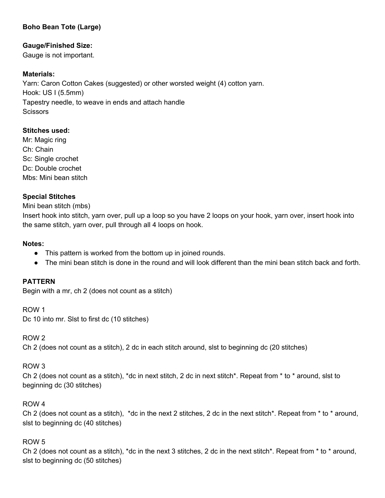# **Boho Bean Tote (Large)**

# **Gauge/Finished Size:**

Gauge is not important.

## **Materials:**

Yarn: Caron Cotton Cakes (suggested) or other worsted weight (4) cotton yarn. Hook: US I (5.5mm) Tapestry needle, to weave in ends and attach handle **Scissors** 

## **Stitches used:**

Mr: Magic ring Ch: Chain Sc: Single crochet Dc: Double crochet Mbs: Mini bean stitch

## **Special Stitches**

Mini bean stitch (mbs)

Insert hook into stitch, yarn over, pull up a loop so you have 2 loops on your hook, yarn over, insert hook into the same stitch, yarn over, pull through all 4 loops on hook.

#### **Notes:**

- This pattern is worked from the bottom up in joined rounds.
- The mini bean stitch is done in the round and will look different than the mini bean stitch back and forth.

## **PATTERN**

Begin with a mr, ch 2 (does not count as a stitch)

ROW 1 Dc 10 into mr. Slst to first dc (10 stitches)

#### ROW 2

Ch 2 (does not count as a stitch), 2 dc in each stitch around, slst to beginning dc (20 stitches)

## ROW 3

Ch 2 (does not count as a stitch), \*dc in next stitch, 2 dc in next stitch\*. Repeat from \* to \* around, slst to beginning dc (30 stitches)

## ROW 4

Ch 2 (does not count as a stitch), \*dc in the next 2 stitches, 2 dc in the next stitch\*. Repeat from \* to \* around, slst to beginning dc (40 stitches)

#### ROW 5

Ch 2 (does not count as a stitch), \*dc in the next 3 stitches, 2 dc in the next stitch\*. Repeat from \* to \* around, slst to beginning dc (50 stitches)